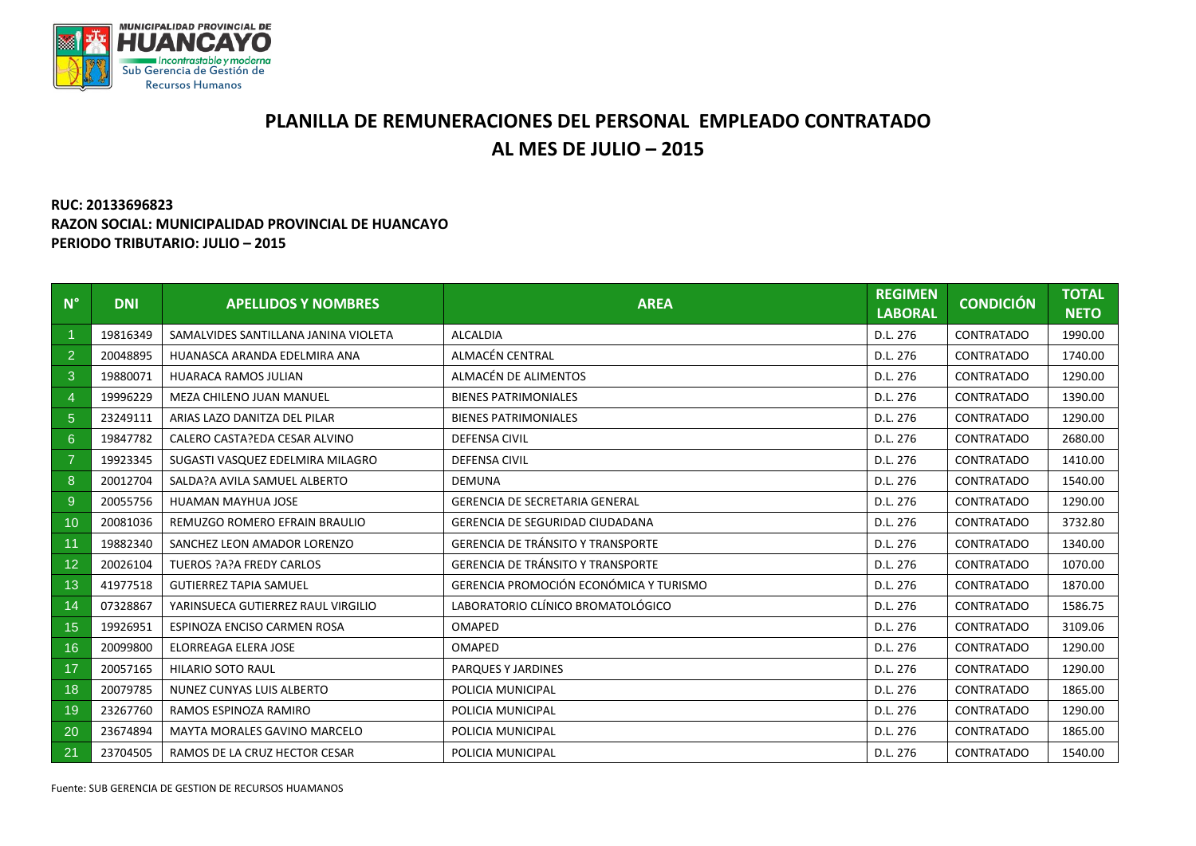

## **PLANILLA DE REMUNERACIONES DEL PERSONAL EMPLEADO CONTRATADO AL MES DE JULIO – 2015**

## **RUC: 20133696823 RAZON SOCIAL: MUNICIPALIDAD PROVINCIAL DE HUANCAYO PERIODO TRIBUTARIO: JULIO – 2015**

| $N^{\circ}$    | <b>DNI</b> | <b>APELLIDOS Y NOMBRES</b>           | <b>AREA</b>                              | <b>REGIMEN</b><br><b>LABORAL</b> | <b>CONDICIÓN</b>  | <b>TOTAL</b><br><b>NETO</b> |
|----------------|------------|--------------------------------------|------------------------------------------|----------------------------------|-------------------|-----------------------------|
|                | 19816349   | SAMALVIDES SANTILLANA JANINA VIOLETA | <b>ALCALDIA</b>                          | D.L. 276                         | <b>CONTRATADO</b> | 1990.00                     |
| $\overline{2}$ | 20048895   | HUANASCA ARANDA EDELMIRA ANA         | ALMACÉN CENTRAL                          | D.L. 276                         | CONTRATADO        | 1740.00                     |
| 3              | 19880071   | <b>HUARACA RAMOS JULIAN</b>          | ALMACÉN DE ALIMENTOS                     | D.L. 276                         | CONTRATADO        | 1290.00                     |
| 4              | 19996229   | MEZA CHILENO JUAN MANUEL             | <b>BIENES PATRIMONIALES</b>              | D.L. 276                         | CONTRATADO        | 1390.00                     |
| 5 <sup>5</sup> | 23249111   | ARIAS LAZO DANITZA DEL PILAR         | <b>BIENES PATRIMONIALES</b>              | D.L. 276                         | CONTRATADO        | 1290.00                     |
| $6^{\circ}$    | 19847782   | CALERO CASTA?EDA CESAR ALVINO        | <b>DEFENSA CIVIL</b>                     | D.L. 276                         | CONTRATADO        | 2680.00                     |
| $\overline{7}$ | 19923345   | SUGASTI VASQUEZ EDELMIRA MILAGRO     | <b>DEFENSA CIVIL</b>                     | D.L. 276                         | CONTRATADO        | 1410.00                     |
| 8              | 20012704   | SALDA?A AVILA SAMUEL ALBERTO         | <b>DEMUNA</b>                            | D.L. 276                         | CONTRATADO        | 1540.00                     |
| 9              | 20055756   | HUAMAN MAYHUA JOSE                   | <b>GERENCIA DE SECRETARIA GENERAL</b>    | D.L. 276                         | CONTRATADO        | 1290.00                     |
| 10             | 20081036   | REMUZGO ROMERO EFRAIN BRAULIO        | <b>GERENCIA DE SEGURIDAD CIUDADANA</b>   | D.L. 276                         | CONTRATADO        | 3732.80                     |
| 11             | 19882340   | SANCHEZ LEON AMADOR LORENZO          | <b>GERENCIA DE TRÁNSITO Y TRANSPORTE</b> | D.L. 276                         | CONTRATADO        | 1340.00                     |
| 12             | 20026104   | <b>TUEROS ?A?A FREDY CARLOS</b>      | <b>GERENCIA DE TRÁNSITO Y TRANSPORTE</b> | D.L. 276                         | CONTRATADO        | 1070.00                     |
| 13             | 41977518   | <b>GUTIERREZ TAPIA SAMUEL</b>        | GERENCIA PROMOCIÓN ECONÓMICA Y TURISMO   | D.L. 276                         | CONTRATADO        | 1870.00                     |
| 14             | 07328867   | YARINSUECA GUTIERREZ RAUL VIRGILIO   | LABORATORIO CLÍNICO BROMATOLÓGICO        | D.L. 276                         | CONTRATADO        | 1586.75                     |
| 15             | 19926951   | ESPINOZA ENCISO CARMEN ROSA          | <b>OMAPED</b>                            | D.L. 276                         | CONTRATADO        | 3109.06                     |
| 16             | 20099800   | <b>ELORREAGA ELERA JOSE</b>          | OMAPED                                   | D.L. 276                         | CONTRATADO        | 1290.00                     |
| 17             | 20057165   | <b>HILARIO SOTO RAUL</b>             | PARQUES Y JARDINES                       | D.L. 276                         | CONTRATADO        | 1290.00                     |
| 18             | 20079785   | NUNEZ CUNYAS LUIS ALBERTO            | POLICIA MUNICIPAL                        | D.L. 276                         | <b>CONTRATADO</b> | 1865.00                     |
| 19             | 23267760   | RAMOS ESPINOZA RAMIRO                | POLICIA MUNICIPAL                        | D.L. 276                         | CONTRATADO        | 1290.00                     |
| 20             | 23674894   | MAYTA MORALES GAVINO MARCELO         | POLICIA MUNICIPAL                        | D.L. 276                         | CONTRATADO        | 1865.00                     |
| 21             | 23704505   | RAMOS DE LA CRUZ HECTOR CESAR        | POLICIA MUNICIPAL                        | D.L. 276                         | CONTRATADO        | 1540.00                     |